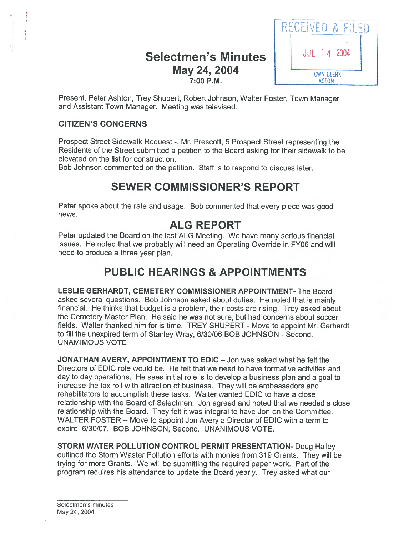## Selectmen's Minutes  $14^{10L}$  14 2004 May 24, 2004 **7:00 P.M. ACTON**



Present, Peter Ashton, Trey Shupert, Robert Johnson, Walter Foster, Town Manager and Assistant Town Manager. Meeting was televised.

### CITIZEN'S CONCERNS

Prospect Street Sidewalk Request -. Mr. Prescott, 5 Prospect Street representing the Residents of the Street submitted <sup>a</sup> petition to the Board asking for their sidewalk to be elevated on the list for construction.

Bob Johnson commented on the petition. Staff is to respond to discuss later.

# SEWER COMMISSIONER'S REPORT

Peter spoke about the rate and usage. Bob commented that every <sup>p</sup>iece was goo<sup>d</sup> news.

### ALG REPORT

Peter updated the Board on the last ALG Meeting. We have many serious financial issues. He noted that we probably will need an Operating Override in FY06 and will need to produce <sup>a</sup> three year plan.

## PUBLIC HEARINGS & APPOINTMENTS

LESLIE GERHARDT, CEMETERY COMMISSIONER APPOINTMENT- The Board asked several questions. Bob Johnson asked about duties. He noted that is mainly financial. He thinks that budget is <sup>a</sup> problem, their costs are rising. Trey asked about the Cemetery Master Plan. He said he was not sure, but had concerns about soccer fields. Walter thanked him for is time. TREY SHUPERT - Move to appoint Mr. Gerhardt to fill the unexpired term of Stanley Wray, 6/30/06 BOB JOHNSON - Second. UNAMIMOUS VOTE

JONATHAN AVERY, APPOINTMENT TO EDIC — Jon was asked what he felt the Directors of EDIC role would be. He felt that we need to have formative activities and day to day operations. He sees initial role is to develop <sup>a</sup> business <sup>p</sup>lan and <sup>a</sup> goa<sup>l</sup> to increase the tax roll with attraction of business. They will be ambassadors and rehabilitators to accomplish these tasks. Walter wanted EDIC to have <sup>a</sup> close relationship with the Board of Selectmen. Jon agreed and noted that we needed <sup>a</sup> close relationship with the Board. They felt it was integral to have Jon on the Committee. WALTER FOSTER — Move to appoint Jon Avery <sup>a</sup> Director of EDIC with <sup>a</sup> term to expire: 6/30/07. BOB JOHNSON, Second. UNANIMOUS VOTE.

STORM WATER POLLUTION CONTROL PERMIT PRESENTATION- Doug Halley outlined the Storm Waster Pollution efforts with monies from 319 Grants. They will be trying for mote Grants. We will be submitting the required paper work. Part of the program requires his attendance to update the Board yearly. Trey asked what our

Selectmen's minutes May 24, 2004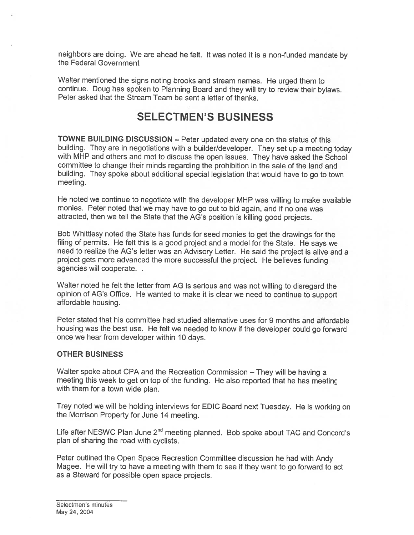neighbors are doing. We are ahead he felt. It was noted it is <sup>a</sup> non-funded mandate by the Federal Government

Walter mentioned the signs noting brooks and stream names. He urge<sup>d</sup> them to continue. Doug has spoken to Planning Board and they will try to review their bylaws. Peter asked that the Stream Team be sent <sup>a</sup> letter of thanks.

## SELECTMEN'S BUSINESS

TOWNE BUILDING DISCUSSION — Peter updated every one on the status of this building. They are in negotiations with <sup>a</sup> builder/developer. They set up <sup>a</sup> meeting today with MHP and others and met to discuss the open issues. They have asked the School committee to change their minds regarding the prohibition in the sale of the land and building. They spoke about additional special legislation that would have to go to town meeting.

He noted we continue to negotiate with the developer MHP was willing to make available monies. Peter noted that we may have to go out to bid again, and if no one was attracted, then we tell the State that the AG's position is killing goo<sup>d</sup> projects.

Bob Whittlesy noted the State has funds for seed monies to ge<sup>t</sup> the drawings for the filing of permits. He felt this is <sup>a</sup> goo<sup>d</sup> project and <sup>a</sup> model for the State. He says we need to realize the AG's letter was an Advisory Letter. He said the project is alive and <sup>a</sup> project gets more advanced the more successful the project. He believes funding agencies will cooperate.

Walter noted he felt the letter from AG is serious and was not willing to disregard the opinion of AG's Office. He wanted to make it is clear we need to continue to suppor<sup>t</sup> affordable housing.

Peter stated that his committee had studied alternative uses for 9 months and affordable housing was the best use. He felt we needed to know if the developer could go forward once we hear from developer within 10 days.

#### OTHER BUSINESS

Walter spoke about CPA and the Recreation Commission — They will be having <sup>a</sup> meeting this week to ge<sup>t</sup> on top of the funding. He also reported that he has meeting with them for <sup>a</sup> town wide <sup>p</sup>lan.

Trey noted we will be holding interviews for EDIC Board next Tuesday. He is working on the Morrison Property for June 14 meeting.

Life after NESWC Plan June 2<sup>nd</sup> meeting planned. Bob spoke about TAC and Concord's plan of sharing the road with cyclists.

Peter outlined the Open Space Recreation Committee discussion he had with Andy Magee. He will try to have <sup>a</sup> meeting with them to see if they want to go forward to act as <sup>a</sup> Steward for possible open space projects.

Selectmen's minutes May 24, 2004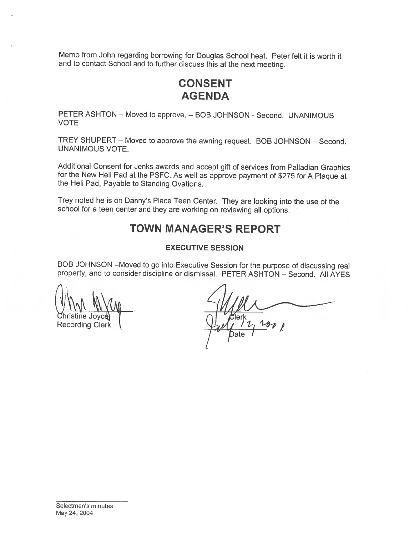Memo from John regarding borrowing for Douglas School heat. Peter felt it is worth it and to contact School and to further discuss this at the next meeting.

# CONSENT AGENDA

PETER ASHTON — Moved to approve. — BOB JOHNSON - Second. UNANIMOUS VOTE

TREY SHUPERT — Moved to approve the awning request. BOB JOHNSON — Second. UNANIMOUS VOTE.

Additional Consent for Jenks awards and accept <sup>g</sup>ift of services from Palladian Graphics for the New Heli Pad at the PSFC. As well as approve payment of \$275 for <sup>A</sup> Plaque at the Hell Pad, Payable to Standing Ovations.

Trey noted he is on Danny's Place Teen Center. They are looking into the use of the school for <sup>a</sup> teen center and they are working on reviewing all options.

## TOWN MANAGER'S REPORT

#### EXECUTIVE SESSION

BOB JOHNSON —Moved to go into Executive Session for the purpose of discussing real property, and to consider discipline or dismissal. PETER ASHTON — Second. All AYES

/1 Christine Joyce  $\bigcup_{\mathcal{A}} f(\mathcal{U}, \mathcal{U})$  Recording Clerk  $\bigcup_{\mathcal{A}} f(\mathcal{U}, \mathcal{U})$ pate I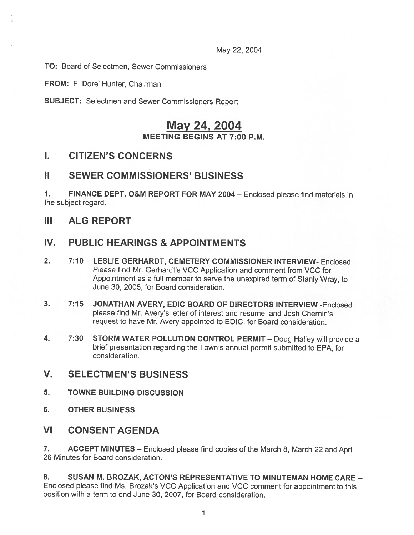May 22, 2004

TO: Board of Selectmen, Sewer Commissioners

FROM: F. Dore' Hunter, Chairman

SUBJECT: Selectmen and Sewer Commissioners Report

### May 24, 2004 MEETING BEGINS AT 7:00 P.M.

### I. CITIZEN'S CONCERNS

### II SEWER COMMISSIONERS' BUSINESS

1. FINANCE DEPT. O&M REPORT FOR MAY <sup>2004</sup> — Enclosed <sup>p</sup>lease find materials in the subject regard.

III ALG REPORT

### IV. PUBLIC HEARINGS & APPOINTMENTS

- 2. 7:10 LESLIE GERHARDT, CEMETERY COMMISSIONER INTERVIEW- Enclosed Please find Mr. Gerhardt's VCC Application and comment from VCC for Appointment as <sup>a</sup> full member to serve the unexpired term of Stanly Wray, to June 30, 2005, for Board consideration.
- 3. 7:15 JONATHAN AVERY, EDIC BOARD OF DIRECTORS INTERVIEW -Enclosed please find Mr. Avery's letter of interest and resume' and Josh Chernin's reques<sup>t</sup> to have Mr. Avery appointed to EDIC, for Board consideration.
- 4. 7:30 STORM WATER POLLUTION CONTROL PERMIT Doug Halley will provide a brief presentation regarding the Town's annual permit submitted to EPA, for consideration.
- V. SELECTMEN'S BUSINESS
- 5. TOWNE BUILDING DISCUSSION
- 6. OTHER BUSINESS

### VI CONSENT AGENDA

7. ACCEPT MINUTES — Enclosed <sup>p</sup>lease find copies of the March 8, March <sup>22</sup> and April 26 Minutes for Board consideration.

8. SUSAN M. BROZAK, ACTON'S REPRESENTATIVE TO MINUTEMAN HOME CARE — Enclosed please find Ms. Brozak's VCC Application and VCC comment for appointment to this position with <sup>a</sup> term to end June 30, 2007, for Board consideration.